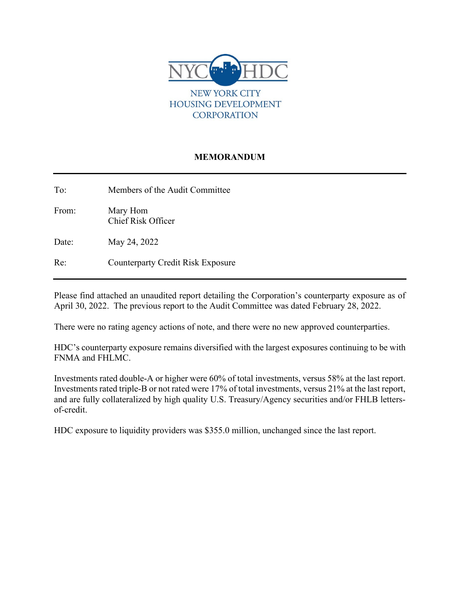

**CORPORATION** 

# **MEMORANDUM**

To: Members of the Audit Committee

From: Mary Hom Chief Risk Officer

Date: May 24, 2022

Re: Counterparty Credit Risk Exposure

Please find attached an unaudited report detailing the Corporation's counterparty exposure as of April 30, 2022. The previous report to the Audit Committee was dated February 28, 2022.

There were no rating agency actions of note, and there were no new approved counterparties.

HDC's counterparty exposure remains diversified with the largest exposures continuing to be with FNMA and FHLMC.

Investments rated double-A or higher were 60% of total investments, versus 58% at the last report. Investments rated triple-B or not rated were 17% of total investments, versus 21% at the last report, and are fully collateralized by high quality U.S. Treasury/Agency securities and/or FHLB lettersof-credit.

HDC exposure to liquidity providers was \$355.0 million, unchanged since the last report.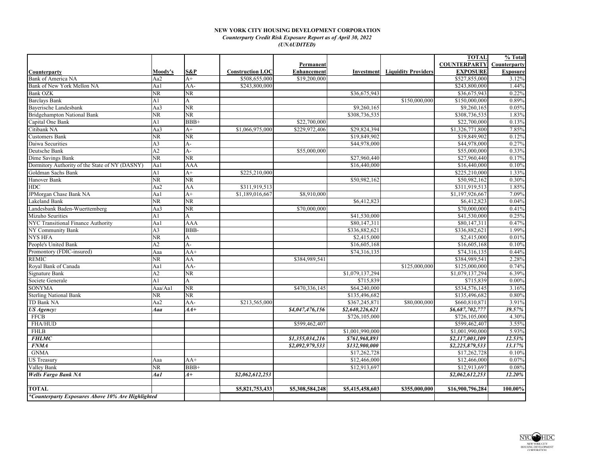## **NEW YORK CITY HOUSING DEVELOPMENT CORPORATION** *Counterparty Credit Risk Exposure Report as of April 30, 2022 (UNAUDITED)*

|                                                   |                        |                        |                         |                    |                 |                                       | <b>TOTAL</b>        | % Total         |
|---------------------------------------------------|------------------------|------------------------|-------------------------|--------------------|-----------------|---------------------------------------|---------------------|-----------------|
|                                                   |                        |                        |                         | Permanent          |                 |                                       | <b>COUNTERPARTY</b> | Counterparty    |
| Counterparty                                      | Moody's                | S&P                    | <b>Construction LOC</b> | <b>Enhancement</b> |                 | <b>Investment</b> Liquidity Providers | <b>EXPOSURE</b>     | <b>Exposure</b> |
| Bank of America NA                                | Aa2                    | $A+$                   | \$508,655,000           | \$19,200,000       |                 |                                       | \$527,855,000       | 3.12%           |
| Bank of New York Mellon NA                        | Aa1                    | AA-                    | \$243,800,000           |                    |                 |                                       | \$243,800,000       | 1.44%           |
| <b>Bank OZK</b>                                   | NR                     | NR                     |                         |                    | \$36,675,943    |                                       | \$36,675,943        | 0.22%           |
| <b>Barclays Bank</b>                              | A <sub>1</sub>         | A                      |                         |                    |                 | \$150,000,000                         | \$150,000,000       | 0.89%           |
| Bayerische Landesbank                             | Aa3                    | NR.                    |                         |                    | \$9,260,165     |                                       | \$9,260,165         | 0.05%           |
| <b>Bridgehampton National Bank</b>                | NR.                    | NR.                    |                         |                    | \$308,736,535   |                                       | \$308,736,535       | 1.83%           |
| Capital One Bank                                  | A1                     | $BBB+$                 |                         | \$22,700,000       |                 |                                       | \$22,700,000        | 0.13%           |
| Citibank NA                                       | Aa3                    | $A+$                   | \$1,066,975,000         | \$229,972,406      | \$29,824,394    |                                       | \$1,326,771,800     | 7.85%           |
| <b>Customers Bank</b>                             | NR                     | NR.                    |                         |                    | \$19,849,902    |                                       | \$19,849,902        | 0.12%           |
| Daiwa Securities                                  | A <sub>3</sub>         | A-                     |                         |                    | \$44,978,000    |                                       | \$44,978,000        | 0.27%           |
| Deutsche Bank                                     | $\overline{A2}$        | $\overline{A}$ -       |                         | \$55,000,000       |                 |                                       | \$55,000,000        | 0.33%           |
| Dime Savings Bank                                 | <b>NR</b>              | $\overline{\text{NR}}$ |                         |                    | \$27,960,440    |                                       | \$27,960,440        | 0.17%           |
| Dormitory Authority of the State of NY (DASNY)    | Aal                    | AAA                    |                         |                    | \$16,440,000    |                                       | \$16,440,000        | 0.10%           |
| Goldman Sachs Bank                                | A <sub>1</sub>         | $A+$                   | \$225,210,000           |                    |                 |                                       | \$225,210,000       | 1.33%           |
| Hanover Bank                                      | NR                     | NR                     |                         |                    | \$50,982,162    |                                       | \$50,982,162        | 0.30%           |
| <b>HDC</b>                                        | Aa2                    | AA                     | \$311,919,513           |                    |                 |                                       | \$311,919,513       | 1.85%           |
| JPMorgan Chase Bank NA                            | Aa1                    | $A+$                   | \$1,189,016,667         | \$8,910,000        |                 |                                       | \$1,197,926,667     | 7.09%           |
| Lakeland Bank                                     | NR.                    | NR                     |                         |                    | \$6,412,823     |                                       | \$6,412,823         | 0.04%           |
| Landesbank Baden-Wuerttemberg                     | Aa3                    | $\overline{\text{NR}}$ |                         | \$70,000,000       |                 |                                       | \$70,000,000        | 0.41%           |
| Mizuho Seurities                                  | A1                     | A                      |                         |                    | \$41,530,000    |                                       | \$41,530,000        | 0.25%           |
| NYC Transitional Finance Authority                | Aa1                    | AAA                    |                         |                    | \$80,147,311    |                                       | \$80,147,311        | 0.47%           |
| NY Community Bank                                 | A <sub>3</sub>         | BBB-                   |                         |                    | \$336,882,621   |                                       | \$336,882,621       | 1.99%           |
| <b>NYS HFA</b>                                    | NR.                    | A                      |                         |                    | \$2,415,000     |                                       | \$2,415,000         | 0.01%           |
| People's United Bank                              | A2                     | $A-$                   |                         |                    | \$16,605,168    |                                       | \$16,605,168        | 0.10%           |
| Promontory (FDIC-insured)                         | Aaa                    | $AA+$                  |                         |                    | \$74,316,135    |                                       | \$74,316,135        | 0.44%           |
| <b>REMIC</b>                                      | $\overline{\text{NR}}$ | AA                     |                         | \$384,989,541      |                 |                                       | \$384,989,541       | 2.28%           |
| Royal Bank of Canada                              | Aa1                    | AA-                    |                         |                    |                 | \$125,000,000                         | \$125,000,000       | 0.74%           |
| Signature Bank                                    | A2                     | NR                     |                         |                    | \$1,079,137,294 |                                       | \$1,079,137,294     | 6.39%           |
| Societe Generale                                  | A <sub>1</sub>         | A                      |                         |                    | \$715,839       |                                       | \$715,839           | 0.00%           |
| <b>SONYMA</b>                                     | Aaa/Aa1                | NR                     |                         | \$470,336,145      | \$64,240,000    |                                       | \$534,576,145       | 3.16%           |
| <b>Sterling National Bank</b>                     | NR                     | NR.                    |                         |                    | \$135,496,682   |                                       | \$135,496,682       | 0.80%           |
| <b>TD Bank NA</b>                                 | Aa2                    | AA-                    | \$213,565,000           |                    | \$367,245,871   | \$80,000,000                          | \$660,810,871       | 3.91%           |
| <b>US</b> Agency:                                 | Aaa                    | $4A+$                  |                         | \$4,047,476,156    | \$2,640,226,621 |                                       | \$6,687,702,777     | 39.57%          |
| <b>FFCB</b>                                       |                        |                        |                         |                    | \$726,105,000   |                                       | \$726,105,000       | 4.30%           |
| FHA/HUD                                           |                        |                        |                         | \$599,462,407      |                 |                                       | \$599,462,407       | 3.55%           |
| <b>FHLB</b>                                       |                        |                        |                         |                    | \$1,001,990,000 |                                       | \$1,001,990,000     | 5.93%           |
| <b>FHLMC</b>                                      |                        |                        |                         | \$1,355,034,216    | \$761,968,893   |                                       | \$2,117,003,109     | 12.53%          |
| <b>FNMA</b>                                       |                        |                        |                         | \$2,092,979,533    | \$132,900,000   |                                       | \$2,225,879,533     | 13.17%          |
| <b>GNMA</b>                                       |                        |                        |                         |                    | \$17,262,728    |                                       | \$17,262,728        | 0.10%           |
| <b>US Treasury</b>                                | Aaa                    | $AA+$                  |                         |                    | \$12,466,000    |                                       | \$12,466,000        | 0.07%           |
| Valley Bank                                       | NR                     | $BBB+$                 |                         |                    | \$12,913,697    |                                       | \$12,913,697        | 0.08%           |
| <b>Wells Fargo Bank NA</b>                        | Aa1                    | $4+$                   | \$2,062,612,253         |                    |                 |                                       | \$2,062,612,253     | 12.20%          |
|                                                   |                        |                        |                         |                    |                 |                                       |                     |                 |
| <b>TOTAL</b>                                      |                        |                        | \$5,821,753,433         | \$5,308,584,248    | \$5,415,458,603 | \$355,000,000                         | \$16,900,796,284    | 100.00%         |
| *Counterparty Exposures Above 10% Are Highlighted |                        |                        |                         |                    |                 |                                       |                     |                 |

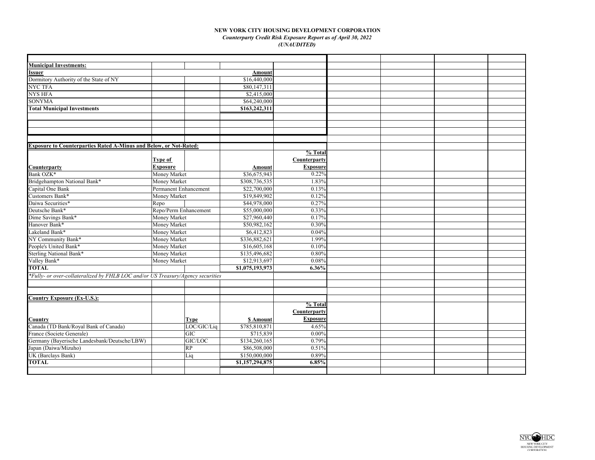## **NEW YORK CITY HOUSING DEVELOPMENT CORPORATION** *Counterparty Credit Risk Exposure Report as of April 30, 2022 (UNAUDITED)*

| <b>Municipal Investments:</b>                                                   |                       |             |                 |                 |  |  |
|---------------------------------------------------------------------------------|-----------------------|-------------|-----------------|-----------------|--|--|
| <b>Issuer</b>                                                                   |                       |             | Amount          |                 |  |  |
| Dormitory Authority of the State of NY                                          |                       |             | \$16,440,000    |                 |  |  |
| <b>NYC TFA</b>                                                                  |                       |             | \$80,147,311    |                 |  |  |
| <b>NYS HFA</b>                                                                  |                       |             | \$2,415,000     |                 |  |  |
| <b>SONYMA</b>                                                                   |                       |             | \$64,240,000    |                 |  |  |
| <b>Total Municipal Investments</b>                                              |                       |             | \$163,242,311   |                 |  |  |
|                                                                                 |                       |             |                 |                 |  |  |
|                                                                                 |                       |             |                 |                 |  |  |
|                                                                                 |                       |             |                 |                 |  |  |
|                                                                                 |                       |             |                 |                 |  |  |
| <b>Exposure to Counterparties Rated A-Minus and Below, or Not-Rated:</b>        |                       |             |                 |                 |  |  |
|                                                                                 |                       |             |                 | % Total         |  |  |
|                                                                                 | Type of               |             |                 | Counterparty    |  |  |
| <b>Counterparty</b>                                                             | <b>Exposure</b>       |             | Amount          | <b>Exposure</b> |  |  |
| Bank OZK*                                                                       | Money Market          |             | \$36,675,943    | 0.22%           |  |  |
| Bridgehampton National Bank*                                                    | Money Market          |             | \$308,736,535   | 1.83%           |  |  |
| Capital One Bank                                                                | Permanent Enhancement |             | \$22,700,000    | 0.13%           |  |  |
| Customers Bank*                                                                 | Money Market          |             | \$19,849,902    | 0.12%           |  |  |
| Daiwa Securities*                                                               | Repo                  |             | \$44,978,000    | 0.27%           |  |  |
| Deutsche Bank*                                                                  | Repo/Perm Enhancement |             | \$55,000,000    | 0.33%           |  |  |
| Dime Savings Bank*                                                              | Money Market          |             | \$27,960,440    | 0.17%           |  |  |
| Hanover Bank*                                                                   | Money Market          |             | \$50,982,162    | 0.30%           |  |  |
| Lakeland Bank*                                                                  | Money Market          |             | \$6,412,823     | 0.04%           |  |  |
| NY Community Bank*                                                              | Money Market          |             | \$336,882,621   | 1.99%           |  |  |
| People's United Bank*                                                           | Money Market          |             | \$16,605,168    | 0.10%           |  |  |
| <b>Sterling National Bank*</b>                                                  | Money Market          |             | \$135,496,682   | 0.80%           |  |  |
| Valley Bank*                                                                    | Money Market          |             | \$12,913,697    | 0.08%           |  |  |
| <b>TOTAL</b>                                                                    |                       |             | \$1,075,193,973 | 6.36%           |  |  |
| *Fully- or over-collateralized by FHLB LOC and/or US Treasury/Agency securities |                       |             |                 |                 |  |  |
|                                                                                 |                       |             |                 |                 |  |  |
|                                                                                 |                       |             |                 |                 |  |  |
| <b>Country Exposure (Ex-U.S.):</b>                                              |                       |             |                 |                 |  |  |
|                                                                                 |                       |             |                 | % Total         |  |  |
|                                                                                 |                       |             |                 | Counterparty    |  |  |
| Country                                                                         |                       | <b>Type</b> | \$ Amount       | <b>Exposure</b> |  |  |
| Canada (TD Bank/Royal Bank of Canada)                                           |                       | LOC/GIC/Liq | \$785,810,871   | 4.65%           |  |  |
| France (Societe Generale)                                                       |                       | <b>GIC</b>  | \$715,839       | 0.00%           |  |  |
| Germany (Bayerische Landesbank/Deutsche/LBW)                                    |                       | GIC/LOC     | \$134,260,165   | 0.79%           |  |  |
| Japan (Daiwa/Mizuho)                                                            |                       | RP          | \$86,508,000    | 0.51%           |  |  |
| UK (Barclays Bank)                                                              |                       | Liq         | \$150,000,000   | 0.89%           |  |  |
| <b>TOTAL</b>                                                                    |                       |             | \$1,157,294,875 | 6.85%           |  |  |
|                                                                                 |                       |             |                 |                 |  |  |
|                                                                                 |                       |             |                 |                 |  |  |

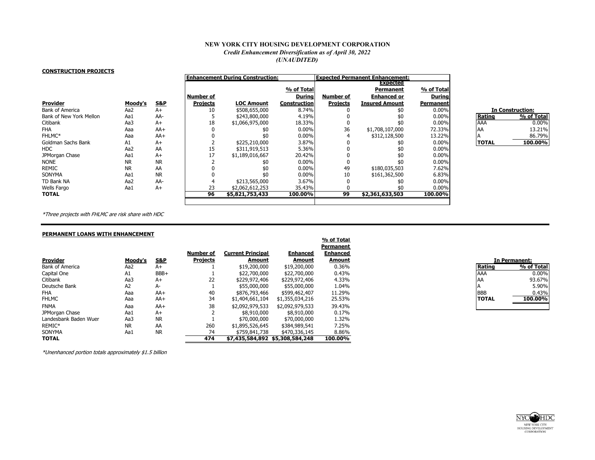# **NEW YORK CITY HOUSING DEVELOPMENT CORPORATION** *Credit Enhancement Diversification as of April 30, 2022 (UNAUDITED)*

#### **CONSTRUCTION PROJECTS**

|                         |           |                |                 | <b>Enhancement During Construction:</b> |                     |                 | <b>Expected Permanent Enhancement:</b> |               |              |                         |
|-------------------------|-----------|----------------|-----------------|-----------------------------------------|---------------------|-----------------|----------------------------------------|---------------|--------------|-------------------------|
|                         |           |                |                 |                                         |                     |                 | <b>Expected</b>                        |               |              |                         |
|                         |           |                |                 |                                         | % of Total          |                 | Permanent                              | % of Total    |              |                         |
|                         |           |                | Number of       |                                         | <b>During</b>       | Number of       | <b>Enhanced or</b>                     | <b>During</b> |              |                         |
| <b>Provider</b>         | Moody's   | <b>S&amp;P</b> | <b>Projects</b> | <b>LOC Amount</b>                       | <b>Construction</b> | <b>Projects</b> | <b>Insured Amount</b>                  | Permanent     |              |                         |
| Bank of America         | Aa2       | $A+$           | 10              | \$508,655,000                           | 8.74%               |                 |                                        | $0.00\%$      |              | <b>In Construction:</b> |
| Bank of New York Mellon | Aa1       | AA-            |                 | \$243,800,000                           | 4.19%               |                 |                                        | $0.00\%$      | Rating       | % of Total              |
| Citibank                | Aa3       | $A+$           | 18              | \$1,066,975,000                         | 18.33%              |                 |                                        | $0.00\%$      | <b>AAA</b>   | 0.00%                   |
| <b>FHA</b>              | Aaa       | $AA+$          |                 |                                         | $0.00\%$            | 36              | \$1,708,107,000                        | 72.33%        | AA           | 13.21%                  |
| FHLMC*                  | Aaa       | $AA+$          |                 |                                         | $0.00\%$            |                 | \$312,128,500                          | 13.22%        |              | 86.79%                  |
| Goldman Sachs Bank      | A1        | $A+$           |                 | \$225,210,000                           | 3.87%               |                 |                                        | $0.00\%$      | <b>TOTAL</b> | 100.00%                 |
| HDC                     | Aa2       | AA             | 15              | \$311,919,513                           | 5.36%               |                 |                                        | $0.00\%$      |              |                         |
| JPMorgan Chase          | Aa1       | $A+$           |                 | \$1,189,016,667                         | 20.42%              |                 |                                        | $0.00\%$      |              |                         |
| NONE                    | <b>NR</b> | <b>NR</b>      |                 |                                         | $0.00\%$            |                 | \$0                                    | $0.00\%$      |              |                         |
| REMIC                   | <b>NR</b> | AA             |                 |                                         | $0.00\%$            | 49              | \$180,035,503                          | 7.62%         |              |                         |
| SONYMA                  | Aa1       | <b>NR</b>      |                 |                                         | $0.00\%$            | 10              | \$161,362,500                          | 6.83%         |              |                         |
| TD Bank NA              | Aa2       | AA-            |                 | \$213,565,000                           | 3.67%               |                 |                                        | $0.00\%$      |              |                         |
| Wells Fargo             | Aa1       | $A+$           | 23              | \$2,062,612,253                         | 35.43%              |                 |                                        | $0.00\%$      |              |                         |
| TOTAL                   |           |                | 96              | \$5,821,753,433                         | 100.00%             | 99              | \$2,361,633,503                        | 100.00%       |              |                         |
|                         |           |                |                 |                                         |                     |                 |                                        |               |              |                         |

| <b>In Construction:</b> |            |  |  |  |  |
|-------------------------|------------|--|--|--|--|
| Rating                  | % of Total |  |  |  |  |
| AAA                     | $0.00\%$   |  |  |  |  |
| AA                      | 13.21%     |  |  |  |  |
| Δ                       | 86.79%     |  |  |  |  |
| TOTAL                   | 100.00%    |  |  |  |  |

\*Three projects with FHLMC are risk share with HDC

## **PERMANENT LOANS WITH ENHANCEMENT**

|                        |                |                |                 |                                 |                 | % of Total      |              |               |
|------------------------|----------------|----------------|-----------------|---------------------------------|-----------------|-----------------|--------------|---------------|
|                        |                |                |                 |                                 |                 | Permanent       |              |               |
|                        |                |                | Number of       | <b>Current Principal</b>        | <b>Enhanced</b> | <b>Enhanced</b> |              |               |
| <b>Provider</b>        | Moody's        | <u>S&amp;P</u> | <b>Projects</b> | Amount                          | Amount          | Amount          |              | In Permanent: |
| <b>Bank of America</b> | Aa2            | $A+$           |                 | \$19,200,000                    | \$19,200,000    | 0.36%           | Rating       |               |
| Capital One            | A1             | BBB+           |                 | \$22,700,000                    | \$22,700,000    | 0.43%           | <b>AAA</b>   |               |
| Citibank               | Aa3            | $A+$           | 22              | \$229,972,406                   | \$229,972,406   | 4.33%           | <b>AA</b>    |               |
| Deutsche Bank          | A <sub>2</sub> | A-             |                 | \$55,000,000                    | \$55,000,000    | 1.04%           |              |               |
| FHA                    | Aaa            | $AA+$          | 40              | \$876,793,466                   | \$599,462,407   | 11.29%          | <b>BBB</b>   |               |
| <b>FHLMC</b>           | Aaa            | $AA+$          | 34              | \$1,404,661,104                 | \$1,355,034,216 | 25.53%          | <b>TOTAL</b> |               |
| <b>FNMA</b>            | Aaa            | $AA+$          | 38              | \$2,092,979,533                 | \$2,092,979,533 | 39.43%          |              |               |
| JPMorgan Chase         | Aa1            | $A+$           |                 | \$8,910,000                     | \$8,910,000     | 0.17%           |              |               |
| Landesbank Baden Wuer  | Aa3            | <b>NR</b>      |                 | \$70,000,000                    | \$70,000,000    | 1.32%           |              |               |
| REMIC*                 | <b>NR</b>      | AA             | 260             | \$1,895,526,645                 | \$384,989,541   | 7.25%           |              |               |
| SONYMA                 | Aa1            | <b>NR</b>      | 74              | \$759,841,738                   | \$470,336,145   | 8.86%           |              |               |
| <b>TOTAL</b>           |                |                | 474             | \$7,435,584,892 \$5,308,584,248 |                 | 100.00%         |              |               |

| In Permanent: |            |  |  |  |  |
|---------------|------------|--|--|--|--|
| Rating        | % of Total |  |  |  |  |
| ААА           | $0.00\%$   |  |  |  |  |
| AA            | 93.67%     |  |  |  |  |
|               | 5.90%      |  |  |  |  |
| <b>BBB</b>    | 0.43%      |  |  |  |  |
| <b>TOTAL</b>  | 100.00%    |  |  |  |  |
|               |            |  |  |  |  |

\*Unenhanced portion totals approximately \$1.5 billion

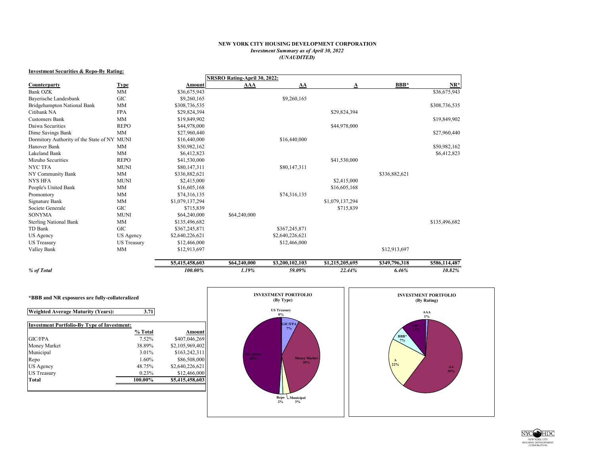## **NEW YORK CITY HOUSING DEVELOPMENT CORPORATION** *Investment Summary as of April 30, 2022 (UNAUDITED)*

### **Investment Securities & Repo-By Rating:**

|                                             |                    |                 | NRSRO Rating-April 30, 2022: |                 |                 |               |               |
|---------------------------------------------|--------------------|-----------------|------------------------------|-----------------|-----------------|---------------|---------------|
| Counterparty                                | <b>Type</b>        | Amount          | AAA                          | AA              | A               | BBB*          | $NR^*$        |
| <b>Bank OZK</b>                             | <b>MM</b>          | \$36,675,943    |                              |                 |                 |               | \$36,675,943  |
| Bayerische Landesbank                       | <b>GIC</b>         | \$9,260,165     |                              | \$9,260,165     |                 |               |               |
| Bridgehampton National Bank                 | MM                 | \$308,736,535   |                              |                 |                 |               | \$308,736,535 |
| Citibank NA                                 | <b>FPA</b>         | \$29,824,394    |                              |                 | \$29,824,394    |               |               |
| <b>Customers Bank</b>                       | <b>MM</b>          | \$19,849,902    |                              |                 |                 |               | \$19,849,902  |
| Daiwa Securities                            | <b>REPO</b>        | \$44,978,000    |                              |                 | \$44,978,000    |               |               |
| Dime Savings Bank                           | <b>MM</b>          | \$27,960,440    |                              |                 |                 |               | \$27,960,440  |
| Dormitory Authority of the State of NY MUNI |                    | \$16,440,000    |                              | \$16,440,000    |                 |               |               |
| Hanover Bank                                | MM                 | \$50,982,162    |                              |                 |                 |               | \$50,982,162  |
| Lakeland Bank                               | <b>MM</b>          | \$6,412,823     |                              |                 |                 |               | \$6,412,823   |
| Mizuho Securities                           | <b>REPO</b>        | \$41,530,000    |                              |                 | \$41,530,000    |               |               |
| <b>NYC TFA</b>                              | <b>MUNI</b>        | \$80,147,311    |                              | \$80,147,311    |                 |               |               |
| NY Community Bank                           | <b>MM</b>          | \$336,882,621   |                              |                 |                 | \$336,882,621 |               |
| <b>NYS HFA</b>                              | <b>MUNI</b>        | \$2,415,000     |                              |                 | \$2,415,000     |               |               |
| People's United Bank                        | <b>MM</b>          | \$16,605,168    |                              |                 | \$16,605,168    |               |               |
| Promontory                                  | <b>MM</b>          | \$74,316,135    |                              | \$74,316,135    |                 |               |               |
| Signature Bank                              | <b>MM</b>          | \$1,079,137,294 |                              |                 | \$1,079,137,294 |               |               |
| Societe Generale                            | GIC                | \$715,839       |                              |                 | \$715,839       |               |               |
| <b>SONYMA</b>                               | <b>MUNI</b>        | \$64,240,000    | \$64,240,000                 |                 |                 |               |               |
| <b>Sterling National Bank</b>               | MM                 | \$135,496,682   |                              |                 |                 |               | \$135,496,682 |
| TD Bank                                     | GIC                | \$367,245,871   |                              | \$367,245,871   |                 |               |               |
| US Agency                                   | US Agency          | \$2,640,226,621 |                              | \$2,640,226,621 |                 |               |               |
| <b>US Treasury</b>                          | <b>US</b> Treasury | \$12,466,000    |                              | \$12,466,000    |                 |               |               |
| Valley Bank                                 | MM                 | \$12,913,697    |                              |                 |                 | \$12,913,697  |               |
|                                             |                    | \$5,415,458,603 | \$64,240,000                 | \$3,200,102,103 | \$1,215,205,695 | \$349,796,318 | \$586,114,487 |
| % of Total                                  |                    | 100.00%         | 1.19%                        | 59.09%          | 22.44%          | 6.46%         | 10.82%        |

| <b>Weighted Average Maturity (Years):</b>          | 3.71    |                 |
|----------------------------------------------------|---------|-----------------|
| <b>Investment Portfolio-By Type of Investment:</b> |         |                 |
|                                                    | % Total | Amount          |
| <b>GIC/FPA</b>                                     | 7.52%   | \$407,046,269   |
| Money Market                                       | 38.89%  | \$2,105,969,402 |
| Municipal                                          | 3.01%   | \$163.242.311   |
| Repo                                               | 1.60%   | \$86,508,000    |
| US Agency                                          | 48.75%  | \$2,640,226,621 |
| <b>US</b> Treasury                                 | 0.23%   | \$12,466,000    |
| <b>Total</b>                                       | 100.00% | \$5,415,458,603 |